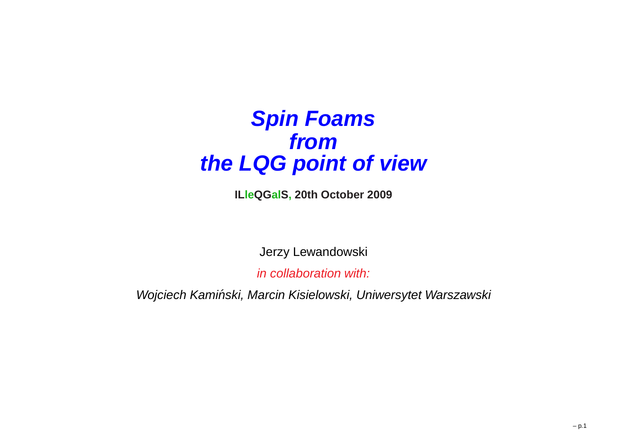#### **Spin Foamsfromthe LQG point of view**

**ILleQGalS, 20th October 2009**

Jerzy Lewandowski

in collaboration with:

Wojciech Kamiński, Marcin Kisielowski, Uniwersytet Warszawski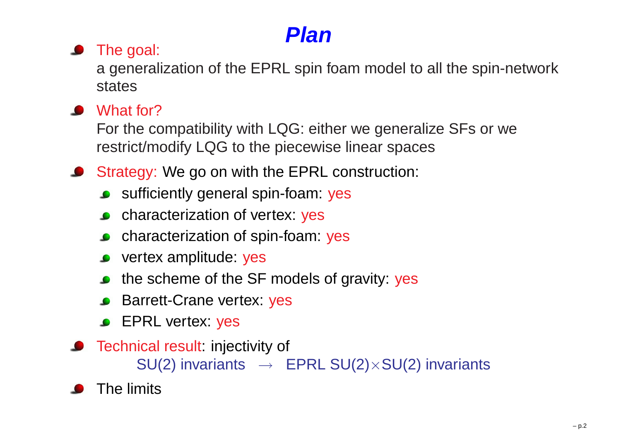#### **Plan**

#### **•** The goal:

<sup>a</sup> generalization of the EPRL spin foam model to all the spin-networkstates

#### • What for?

 For the compatibility with LQG: either we generalize SFs or werestrict/modify LQG to the piecewise linear spaces

- Strategy: We go on with the EPRL construction:
	- **Sufficiently general spin-foam: yes**
	- **characterization of vertex: yes**
	- characterization of spin-foam: yes
	- **vertex amplitude: yes**
	- the scheme of the SF models of gravity: yes
	- Barrett-Crane vertex: yes
	- **EPRL vertex: yes**
- **C** Technical result: injectivity of  $\mathsf{SU}(2)$  invariants  $\;\rightarrow\;$  EPRL  $\mathsf{SU}(2)\times\mathsf{SU}(2)$  invariants
- The limits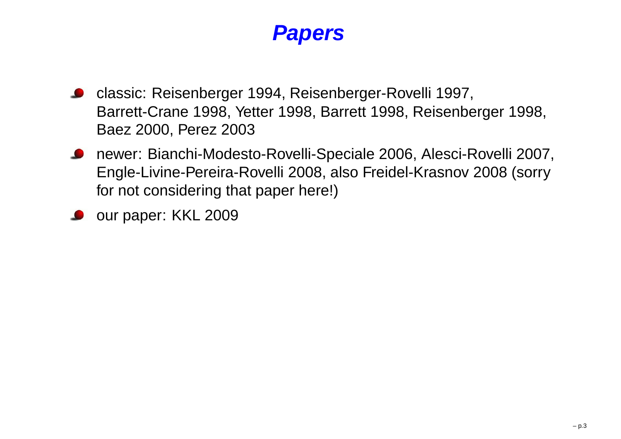#### **Papers**

- **C** classic: Reisenberger 1994, Reisenberger-Rovelli 1997, Barrett-Crane 1998, Yetter 1998, Barrett 1998, Reisenberger 1998, Baez 2000, Perez 2003
- newer: Bianchi-Modesto-Rovelli-Speciale 2006, Alesci-Rovelli 2007, Engle-Livine-Pereira-Rovelli 2008, also Freidel-Krasnov 2008 (sorryfor not considering that paper here!)

our paper: KKL 2009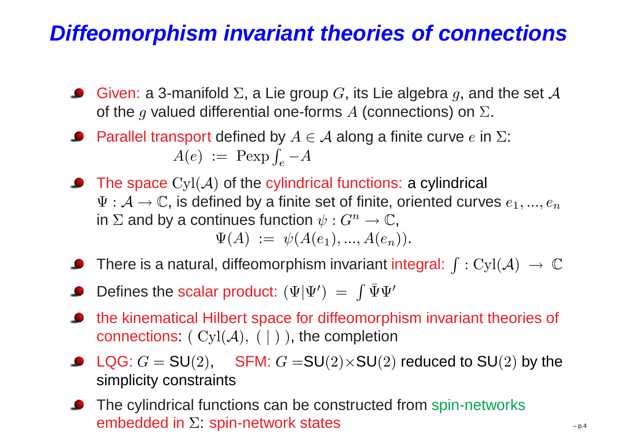## **Diffeomorphism invariant theories of connections**

- Given: a 3-manifold  $\Sigma$ , a Lie group  $G$ , its Lie algebra  $g$ , and the set  ${\mathcal A}$ of the  $g$  valued differential one-forms  $A$  (connections) on  $\Sigma.$
- Parallel transport defined by  $A \in \mathcal{A}$  along a finite curve  $e$  in  $\Sigma$ :  $A(e) := \text{Pexp} \int_e -A$
- The space  $\mathrm{Cyl}(\mathcal{A})$  of the cylindrical functions: a cylindrical  $\Psi: \mathcal{A} \rightarrow \mathbb{C},$  is defined by a finite set of finite, oriented curves  $e_1, ..., e_n$ in  $\Sigma$  and by a continues function  $\psi:G^n\to\mathbb{C},$  $\Psi(A) \; := \; \psi(A(e_1),...,A(e_n)).$
- There is a natural, diffeomorphism invariant integral:  $\int : \mathrm{Cyl}(\mathcal{A}) \ \rightarrow \ \mathbb{C}$
- Defines the scalar product:  $(\Psi | \Psi^{\prime}) = \int \bar{\Psi} \Psi^{\prime}$
- **•** the kinematical Hilbert space for diffeomorphism invariant theories of connections:  $(\mathrm{Cyl}(\mathcal{A}),\,(\,|\,)\,)$  , the completion
- $\textsf{LQG:}\ G=\textsf{SU}(2),\quad \textsf{SFM:}\ G=\textsf{SU}(2)\!\times\!\textsf{SU}(2)$  reduced to  $\textsf{SU}(2)$  by the simplicity constraints
- The cylindrical functions can be constructed from spin-networks<br>embodded in  $\Sigma$ : spin network states embedded in  $\Sigma$ : spin-network states  $\mathbf{P}$  – p.4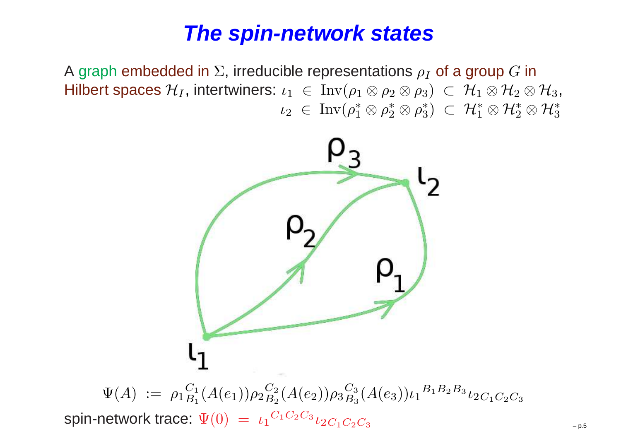#### **The spin-network states**

A graph embedded in  $\Sigma$ , irreducible representations  $\rho_I$  of a group  $G$  in the state intertwing  $\sigma$ Hilbert spaces  $\mathcal{H}_I$ , intertwiners:  $\iota_1~\in~\text{Inv}(\rho_1\otimes\rho_2\otimes\rho_3)~\subset~\mathcal{H}_1\otimes\mathcal{H}_2\otimes\mathcal{H}_3,$  $\iota_2$   $\in \text{ Inv}(\rho_1^* \otimes \rho_2^* \otimes \rho_3^*) \subset \mathcal{H}_1^* \otimes \mathcal{H}_2^* \otimes \mathcal{H}_3^*$  $_1^*\otimes\rho_2^*$  $_2^*\otimes\rho_3^*$  $\mathfrak{z}_3)$  ⊂  $\mathcal{H}_1^*$  1 $_1^*\otimes\mathcal{H}_2^*$  2 $\frac{1}{2}\otimes\mathcal{H}_3^*$ 3

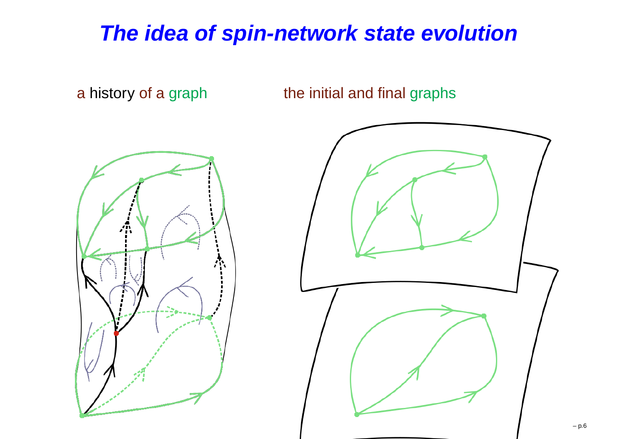#### **The idea of spin-network state evolution**

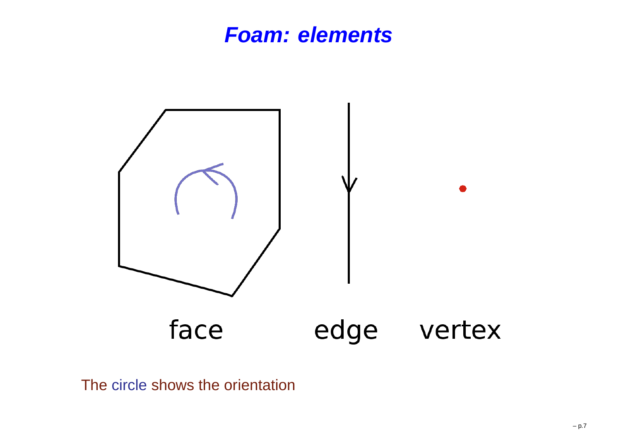#### **Foam: elements**



The circle shows the orientation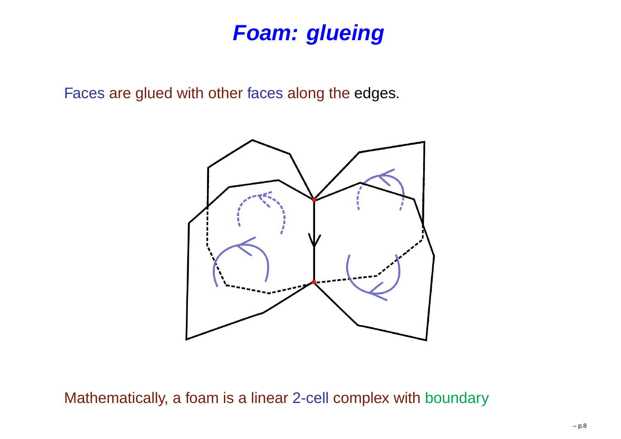#### **Foam: glueing**

Faces are glued with other faces along the edges.



Mathematically, <sup>a</sup> foam is <sup>a</sup> linear 2-cell complex with boundary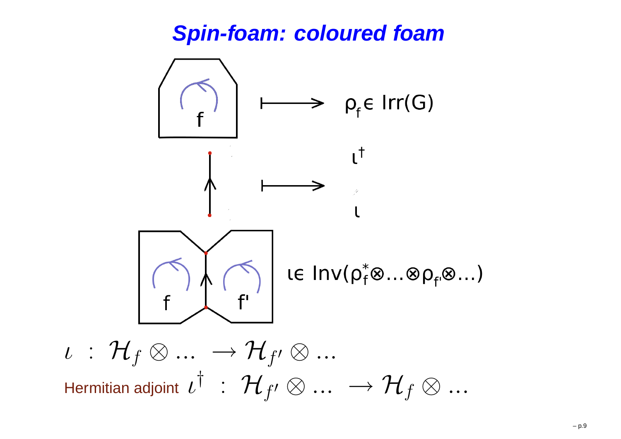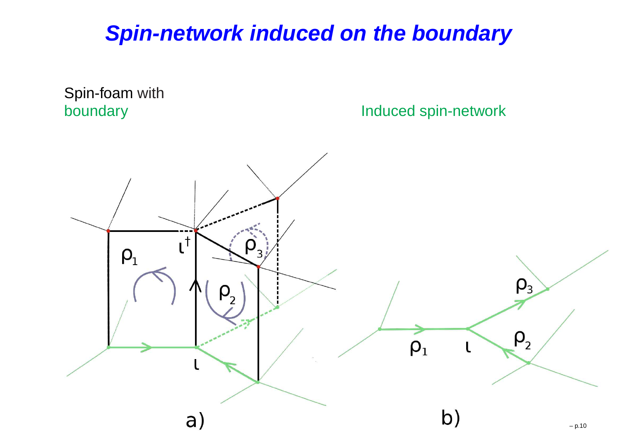#### **Spin-network induced on the boundary**

Spin-foam with<br>boundary

boundary **Induced spin-network** 

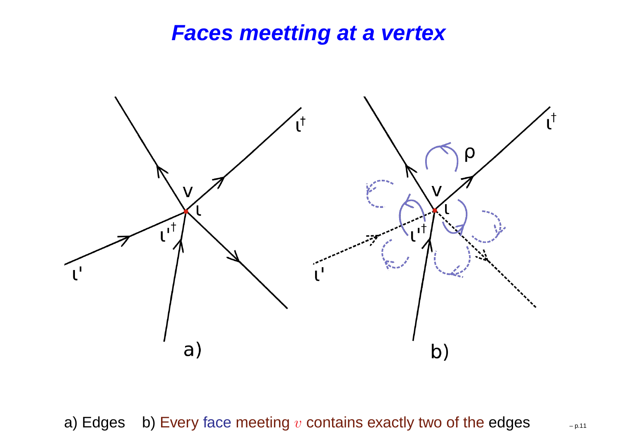#### **Faces meetting at <sup>a</sup> vertex**



a) Edges b) Every face meeting v contains exactly two of the edges – p.11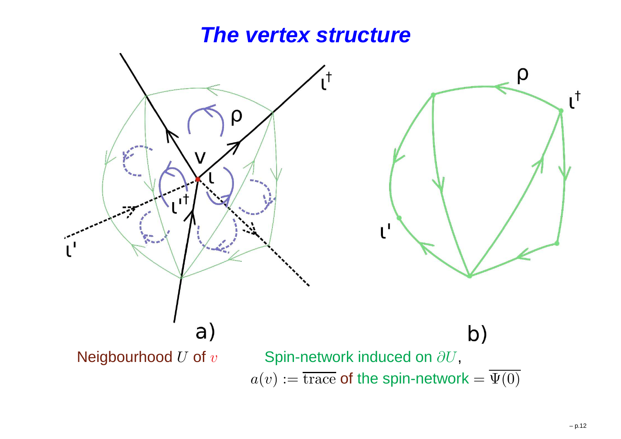#### **The vertex structure**

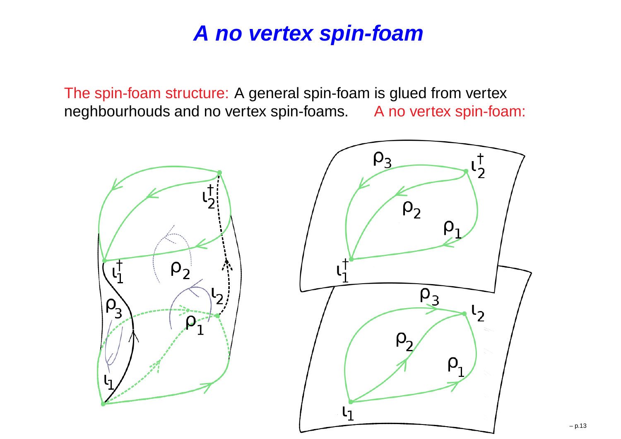#### **A no vertex spin-foam**

The spin-foam structure: A general spin-foam is glued from vertexneghbourhouds and no vertex spin-foams. A no vertex spin-foam:

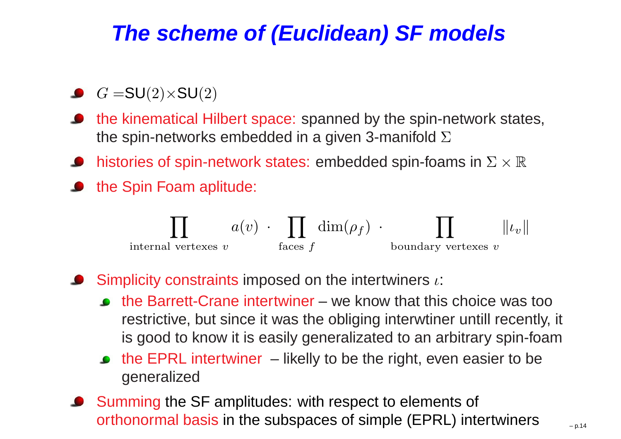## **The scheme of (Euclidean) SF models**

#### $G=\!\mathsf{SU}(2)\!\times\!\mathsf{SU}(2)$

- **•** the kinematical Hilbert space: spanned by the spin-network states, the spin-networks embedded in a given 3-manifold  $\Sigma$
- histories of spin-network states: embedded spin-foams in  $\Sigma\times\mathbb{R}$
- the Spin Foam aplitude:

$$
\prod_{\text{internal vertexes } v} a(v) \cdot \prod_{\text{faces } f} \dim(\rho_f) \cdot \prod_{\text{boundary vertexes } v} \|\iota_v\|
$$

- Simplicity constraints imposed on the intertwiners  $\iota$ :
	- the Barrett-Crane intertwiner we know that this choice was too restrictive, but since it was the obliging interwtiner untill recently, it is good to know it is easily generalizated to an arbitrary spin-foam
	- the EPRL intertwiner likelly to be the right, even easier to begeneralized
- Summing the SF amplitudes: with respect to elements of orthonormal basis in the subspaces of simple (EPRL) intertwiners  $\qquad \qquad _{\text{--} \text{p.14}}$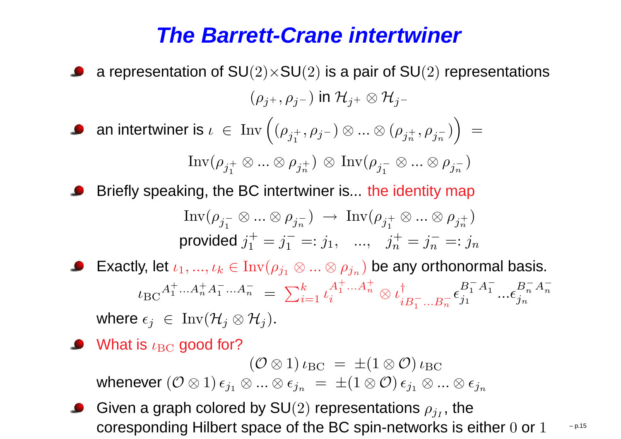#### **The Barrett-Crane intertwiner**

- a representation of  $\mathsf{SU}(2){\times}\mathsf{SU}(2)$  is a pair of  $\mathsf{SU}(2)$  representations  $(\rho_{j^+},\rho_{j^-})$  in  $\mathcal{H}_{j^+}\otimes\mathcal{H}$  $j^$ an intertwiner is  $\iota$  $\iota \in \text{Inv}\left(\right.$  $(\rho_{j_1^+})$  $_1^+,\rho_j^-)\otimes$  $\vee$  ...  $\otimes$   $(\rho_{j_n^+}$  $_{\frac{1}{n}},\rho_{j_{n}^{-}})\Big)$ = $\text{Inv}(\rho_{j_1^+}$ 1⊗ $\vee$  ...  $\otimes$   $\rho_{j_n^+})$   $\otimes$   $\mathrm{Inv}(\rho_{j_1^-})$ ⊗ $\circ$  ...  $\otimes$   $\rho_{j_n^-})$ Briefly speaking, the BC intertwiner is... the identity map $\text{Inv}(\rho_{j_1^-}$ provided  $j^{+}_{1}=j^{-}_{1}=:j_{1},\;\;\;...,\;\;\;j^{+}_{n}=j^{-}_{n}=:$ ⊗ $\vee$  ...  $\otimes \rho_{j_n}$ )  $\rightarrow \text{Inv}(\rho_{j_1^+})$ 1⊗ $\vee$  ...  $\otimes$   $\rho_{j_n^+})$  $j_1^+=j_1^-$ Exactly, let  $\iota_1,...,\iota_k\in\mathrm{Inv}(\rho_{j_1}\otimes...\otimes\rho_{j_n})$  be an  $\bar{i}_1 = i j_1, \dots, j_n^+$  $n^{\dagger} = j^-_n$  $\overline{n} =: j_n$  $\overline{1}$   $\overline{1}$   $\overline{1}$   $\overline{1}$   $\overline{1}$   $\overline{1}$   $\overline{1}$   $\overline{1}$   $\overline{1}$   $\overline{1}$   $\overline{1}$   $\overline{1}$   $\overline{1}$   $\overline{1}$   $\overline{1}$   $\overline{1}$   $\overline{1}$   $\overline{1}$   $\overline{1}$   $\overline{1}$   $\overline{1}$   $\overline{1}$   $\overline{1}$   $\overline{1}$   $\overline{$  $\otimes \rho_{j_n})$  be any orthonormal basis.  $\iota_{\rm BC}$  $\bm{A}$ + ${}_{1}^{+}...A$ + $\, n \,$  $\bm{A}$  $\frac{1}{1} ... A$  $\, n$  $=$   $\sum$  $\boldsymbol{k}$  $i=1$ <sup>l</sup>  $\bm{A}$  $\, + \,$  $^{+}_{1}...A$  $\, + \,$  $\boldsymbol{n}$  $\sum_{i=1}^{n} a_i \otimes a_i$  $\overrightarrow{iB_1} \dots B_n^ \epsilon$  $\, B \,$  $\frac{1}{1}A$  1 $j_1$  ... $\epsilon$  $\, B \,$  $\,n$  $\bm A$  $\,n$  $j_n$ where  $\epsilon_j \; \in \; \mathrm{Inv}(\mathcal{H}_j \otimes \mathcal{H}_j).$
- What is  $\iota_{\text{BC}}$  good for?

 $(\mathcal{O}\otimes 1)\,\iota_{\mathrm{BC}}\ =\ \pm(1\otimes \mathcal{O})\,\iota_{\mathrm{BC}}$  $\sqrt{1 + 1}$ whenever  $(\mathcal{O}\otimes 1)\,\epsilon_{j_1}\otimes...\otimes\epsilon_{j_n}~=~\pm(1\otimes \mathcal{O})\,\epsilon_{j_1}\otimes$  $\otimes \epsilon_{j_n}$  $= \pm (1 \otimes {\cal O}) \, \epsilon_{j_1} \otimes ...$  $\otimes \epsilon_{j_n}$ 

Given a graph colored by SU $(2)$  representations  $\rho_{j_I}$ , the coresponding Hilbert space of the BC spin-networks is either  $0$  or  $1$ – p.15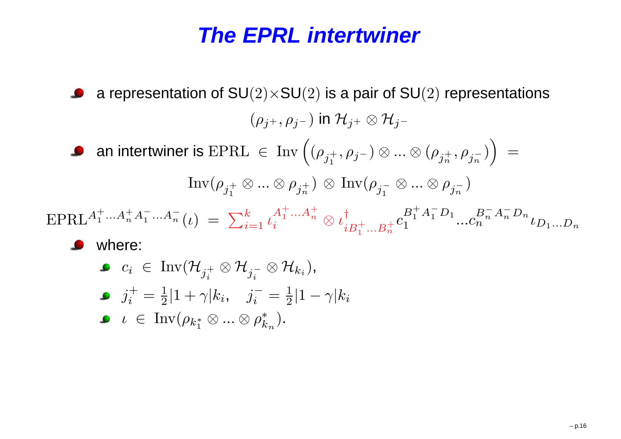#### **The EPRL intertwiner**

- a representation of  $\mathsf{SU}(2){\times}\mathsf{SU}(2)$  is a pair of  $\mathsf{SU}(2)$  representations  $(\rho_{j^+},\rho_{j^-})$  in  $\mathcal{H}_{j^+}\otimes\mathcal{H}$  $j^-$
- an intertwiner is  $\textrm{EPRL}~\in~\textrm{Inv}\left(\right.$  $(\rho_{j_1^+})$  $_1^+,\rho_j$ – )  $\otimes$  $\vee$  ...  $\otimes$   $(\rho_{j_n^+}$  $_{\frac{1}{n}},\rho_{j_{n}^{-}})\Big)$ = $\text{Inv}(\rho_{j_1^+}$ 1⊗ $\vee$  ...  $\otimes$   $\rho_{j_n^+})$   $\otimes$   $\mathrm{Inv}({\rho_{j_1^-}}$ ⊗ $\vee$  ...  $\otimes$   $\rho_{j_n^-})$

 $\mathrm{EPRL}^A$ + ${}_{1}^{+}...A$ + $\, n \,$  $\bm{A}$  $\frac{1}{1} ... A$  $\it n$  $\mathbf{r}\left( t\right) \ =\ \sum% \begin{array}{c} \mathbf{r}\left( 0\right) \mathbf{r} & \mathbf{0}\mathbf{0} \end{array} \mathbf{r}%$  $\,k$  $i=1$ <sup>l</sup>  $\bm{A}$  $\, + \,$  $^{+}_{1}...A$  $\, + \,$  $\, n \,$  $\frac{1}{i}$   $\cdots$   $\frac{n}{n}$   $\otimes$   $\iota$  $\frac{\dagger}{iB_{\pm}^+}$  $1^+...B_n^+$  $\,c\,$ B+ $^{+}_{1}A$  $B_1^{\dagger} A_1^{\dagger} D_1 ... c$ B $\,n$  $\,A$  $\it n$ D $\, n \,$  $n\quad \quad \ \ \, \mu \qquad \ \ \, \nu$  $\iota_{D_1...D_n}$ where:

\n- $$
c_i \in \text{Inv}(\mathcal{H}_{j_i^+} \otimes \mathcal{H}_{j_i^-} \otimes \mathcal{H}_{k_i}),
$$
\n- $j_i^+ = \frac{1}{2} |1 + \gamma| k_i, \quad j_i^- = \frac{1}{2} |1 - \gamma| k_i$
\n- $\iota \in \text{Inv}(\rho_{k_1^*} \otimes \ldots \otimes \rho_{k_n}^*).$
\n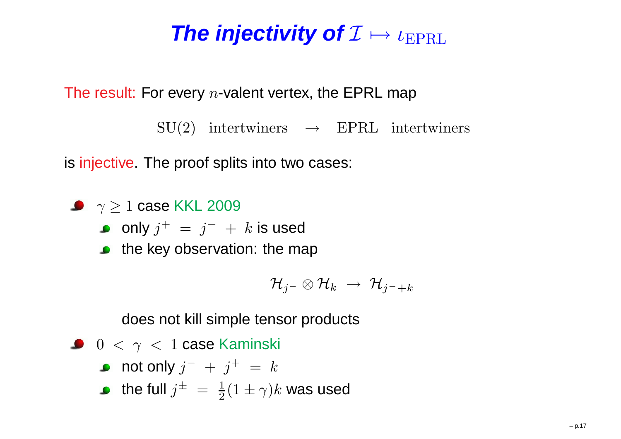# $\bm{\mathsf{The}}$  injectivity of  $\mathcal{I} \mapsto \iota_{\rm EPRL}$

The result: For every  $n$ -valent vertex, the EPRL map

 $\text{SU}(2)$  intertwiners  $\rightarrow$  EPRL intertwiners

is <mark>injective</mark>. The proof splits into two cases:

- $\gamma \geq 1$  case KKL 2009
	- only  $j^+ \ = \ j^- \ + \ k$  is used
	- $\bullet$  the key observation: the map

$$
\mathcal{H}_{j^-}\otimes\mathcal{H}_k\ \rightarrow\ \mathcal{H}_{j^-+k}
$$

does not kill simple tensor products

- $0\ <\ \gamma\ <\ 1$  case Kaminski
	- not only  $j^-$  +  $j^+$  =  $k$
	- the full  $j^{\pm}~=~\frac{1}{2} (1\pm \gamma) k$  was used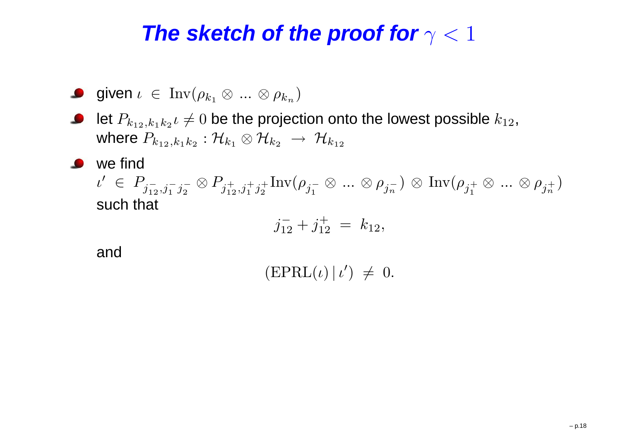## *The sketch of the proof for*  $\gamma < 1$

**given** 
$$
\iota \in \text{Inv}(\rho_{k_1} \otimes ... \otimes \rho_{k_n})
$$

let  $P_{k_{12},k_1k_2}\iota\neq 0$  be the projection onto the lowest possible  $k_{12},$ where  $P_{k_{12},k_1k_2}:\mathcal{H}_{k_1}\otimes\mathcal{H}_{k_2}$  $_2$   $\rightarrow$   $\mathcal{H}_{k_{12}}$ 

#### **O** we find

 $\iota' \,\,\in\,\,$  1  $' \in P_j$  $\frac{-}{12},j_1^-\,j_2^ \otimes P_{j^+_{12},j^+_{1}}$  $_{1}^{+}j_{2}^{+}$  $+\ln \sqrt{\rho_{j_1^-}}$ ⊗ $\vee$  ...  $\otimes$   $\rho_{j_n^-})$   $\otimes$   $\mathrm{Inv}(\rho_{j_1^+})$ 1⊗ $\vee$  ...  $\otimes$   $\rho_{j_n^+})$ such that

$$
j_{12}^- + j_{12}^+ = k_{12},
$$

and

 $(\text{EPRL}(\iota) | \iota') \neq 0.$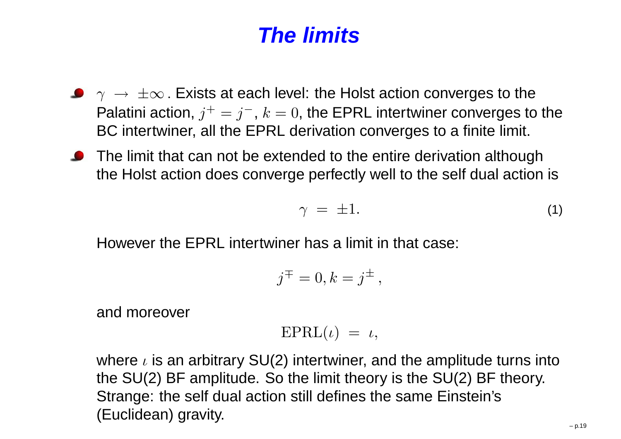#### **The limits**

- $\gamma \ \rightarrow \ \pm \infty$  . Exists at each level: the Holst action converges to the<br>Palatini action  $\,$  it  $-$  in the Laureline intertwiner converges to Palatini action,  $j^+=j^-, k=0$ , the EPRL intertwiner converges to the<br>PC intertwiner, all the EDDL derivation converges to a finite limit. BC intertwiner, all the EPRL derivation converges to <sup>a</sup> finite limit.
- **•** The limit that can not be extended to the entire derivation although the Holst action does converge perfectly well to the self dual action is

$$
\gamma = \pm 1. \tag{1}
$$

However the EPRL intertwiner has <sup>a</sup> limit in that case:

$$
j^{\mp} = 0, k = j^{\pm},
$$

and moreover

 $\text{EPRL}(\iota) = \iota,$ 

where  $\iota$  is an arbitrary SU(2) intertwiner, and the amplitude turns into the SU(2) BF amplitude. So the limit theory is the SU(2) BF theory. Strange: the self dual action still defines the same Einstein's(Euclidean) gravity.